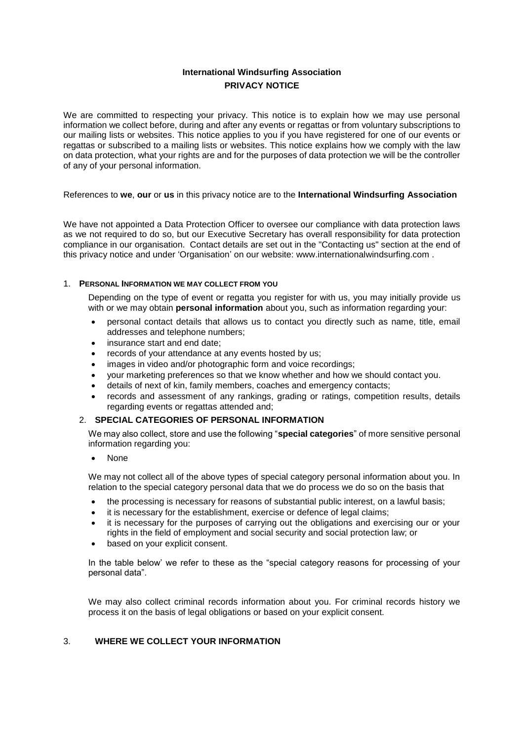# **International Windsurfing Association PRIVACY NOTICE**

We are committed to respecting your privacy. This notice is to explain how we may use personal information we collect before, during and after any events or regattas or from voluntary subscriptions to our mailing lists or websites. This notice applies to you if you have registered for one of our events or regattas or subscribed to a mailing lists or websites. This notice explains how we comply with the law on data protection, what your rights are and for the purposes of data protection we will be the controller of any of your personal information.

References to **we**, **our** or **us** in this privacy notice are to the **International Windsurfing Association**

We have not appointed a Data Protection Officer to oversee our compliance with data protection laws as we not required to do so, but our Executive Secretary has overall responsibility for data protection compliance in our organisation. Contact details are set out in the "Contacting us" section at the end of this privacy notice and under 'Organisation' on our website: www.internationalwindsurfing.com .

#### 1. **PERSONAL INFORMATION WE MAY COLLECT FROM YOU**

Depending on the type of event or regatta you register for with us, you may initially provide us with or we may obtain **personal information** about you, such as information regarding your:

- personal contact details that allows us to contact you directly such as name, title, email addresses and telephone numbers;
- insurance start and end date;
- records of your attendance at any events hosted by us:
- images in video and/or photographic form and voice recordings;
- your marketing preferences so that we know whether and how we should contact you.
- details of next of kin, family members, coaches and emergency contacts;
- records and assessment of any rankings, grading or ratings, competition results, details regarding events or regattas attended and;

## 2. **SPECIAL CATEGORIES OF PERSONAL INFORMATION**

We may also collect, store and use the following "**special categories**" of more sensitive personal information regarding you:

• None

We may not collect all of the above types of special category personal information about you. In relation to the special category personal data that we do process we do so on the basis that

- the processing is necessary for reasons of substantial public interest, on a lawful basis;
- it is necessary for the establishment, exercise or defence of legal claims;
- it is necessary for the purposes of carrying out the obligations and exercising our or your rights in the field of employment and social security and social protection law; or
- based on your explicit consent.

In the table below' we refer to these as the "special category reasons for processing of your personal data".

We may also collect criminal records information about you. For criminal records history we process it on the basis of legal obligations or based on your explicit consent.

# 3. **WHERE WE COLLECT YOUR INFORMATION**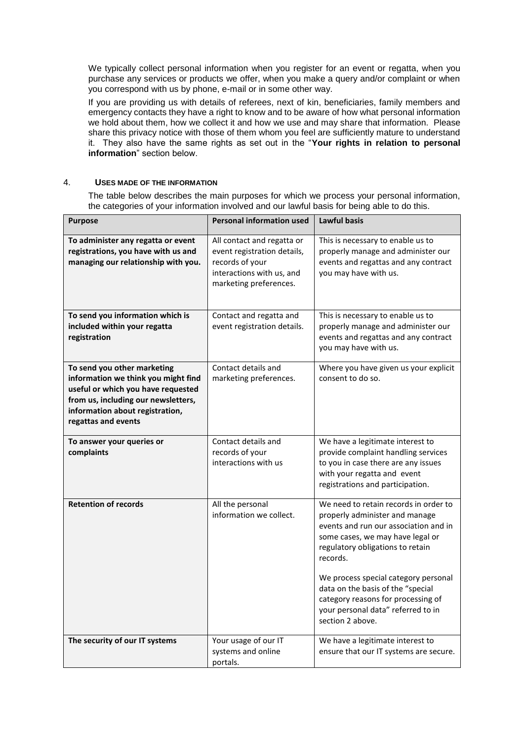We typically collect personal information when you register for an event or regatta, when you purchase any services or products we offer, when you make a query and/or complaint or when you correspond with us by phone, e-mail or in some other way.

If you are providing us with details of referees, next of kin, beneficiaries, family members and emergency contacts they have a right to know and to be aware of how what personal information we hold about them, how we collect it and how we use and may share that information. Please share this privacy notice with those of them whom you feel are sufficiently mature to understand it. They also have the same rights as set out in the "**Your rights in relation to personal information**" section below.

#### 4. **USES MADE OF THE INFORMATION**

The table below describes the main purposes for which we process your personal information, the categories of your information involved and our lawful basis for being able to do this.

| <b>Purpose</b>                                                                                                                                                                                            | <b>Personal information used</b>                                                                                                    | <b>Lawful basis</b>                                                                                                                                                                                                                                                                                                                                                               |
|-----------------------------------------------------------------------------------------------------------------------------------------------------------------------------------------------------------|-------------------------------------------------------------------------------------------------------------------------------------|-----------------------------------------------------------------------------------------------------------------------------------------------------------------------------------------------------------------------------------------------------------------------------------------------------------------------------------------------------------------------------------|
| To administer any regatta or event<br>registrations, you have with us and<br>managing our relationship with you.                                                                                          | All contact and regatta or<br>event registration details,<br>records of your<br>interactions with us, and<br>marketing preferences. | This is necessary to enable us to<br>properly manage and administer our<br>events and regattas and any contract<br>you may have with us.                                                                                                                                                                                                                                          |
| To send you information which is<br>included within your regatta<br>registration                                                                                                                          | Contact and regatta and<br>event registration details.                                                                              | This is necessary to enable us to<br>properly manage and administer our<br>events and regattas and any contract<br>you may have with us.                                                                                                                                                                                                                                          |
| To send you other marketing<br>information we think you might find<br>useful or which you have requested<br>from us, including our newsletters,<br>information about registration,<br>regattas and events | Contact details and<br>marketing preferences.                                                                                       | Where you have given us your explicit<br>consent to do so.                                                                                                                                                                                                                                                                                                                        |
| To answer your queries or<br>complaints                                                                                                                                                                   | Contact details and<br>records of your<br>interactions with us                                                                      | We have a legitimate interest to<br>provide complaint handling services<br>to you in case there are any issues<br>with your regatta and event<br>registrations and participation.                                                                                                                                                                                                 |
| <b>Retention of records</b>                                                                                                                                                                               | All the personal<br>information we collect.                                                                                         | We need to retain records in order to<br>properly administer and manage<br>events and run our association and in<br>some cases, we may have legal or<br>regulatory obligations to retain<br>records.<br>We process special category personal<br>data on the basis of the "special<br>category reasons for processing of<br>your personal data" referred to in<br>section 2 above. |
| The security of our IT systems                                                                                                                                                                            | Your usage of our IT<br>systems and online<br>portals.                                                                              | We have a legitimate interest to<br>ensure that our IT systems are secure.                                                                                                                                                                                                                                                                                                        |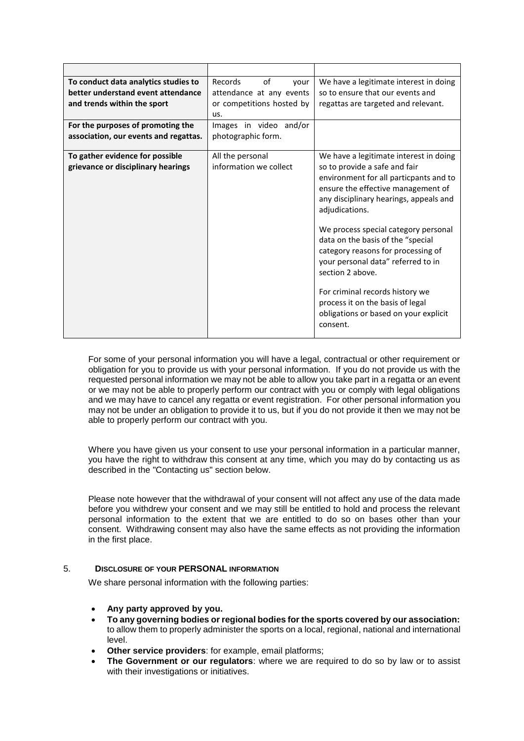| To conduct data analytics studies to<br>better understand event attendance<br>and trends within the sport<br>For the purposes of promoting the | Records<br>of<br>vour<br>attendance at any events<br>or competitions hosted by<br>us.<br>Images in video and/or | We have a legitimate interest in doing<br>so to ensure that our events and<br>regattas are targeted and relevant.                                                                                                                                                                                                                                                                                                                                                                                                            |
|------------------------------------------------------------------------------------------------------------------------------------------------|-----------------------------------------------------------------------------------------------------------------|------------------------------------------------------------------------------------------------------------------------------------------------------------------------------------------------------------------------------------------------------------------------------------------------------------------------------------------------------------------------------------------------------------------------------------------------------------------------------------------------------------------------------|
| association, our events and regattas.                                                                                                          | photographic form.                                                                                              |                                                                                                                                                                                                                                                                                                                                                                                                                                                                                                                              |
| To gather evidence for possible<br>grievance or disciplinary hearings                                                                          | All the personal<br>information we collect                                                                      | We have a legitimate interest in doing<br>so to provide a safe and fair<br>environment for all particpants and to<br>ensure the effective management of<br>any disciplinary hearings, appeals and<br>adjudications.<br>We process special category personal<br>data on the basis of the "special<br>category reasons for processing of<br>your personal data" referred to in<br>section 2 above.<br>For criminal records history we<br>process it on the basis of legal<br>obligations or based on your explicit<br>consent. |

For some of your personal information you will have a legal, contractual or other requirement or obligation for you to provide us with your personal information. If you do not provide us with the requested personal information we may not be able to allow you take part in a regatta or an event or we may not be able to properly perform our contract with you or comply with legal obligations and we may have to cancel any regatta or event registration. For other personal information you may not be under an obligation to provide it to us, but if you do not provide it then we may not be able to properly perform our contract with you.

Where you have given us your consent to use your personal information in a particular manner, you have the right to withdraw this consent at any time, which you may do by contacting us as described in the "Contacting us" section below.

Please note however that the withdrawal of your consent will not affect any use of the data made before you withdrew your consent and we may still be entitled to hold and process the relevant personal information to the extent that we are entitled to do so on bases other than your consent. Withdrawing consent may also have the same effects as not providing the information in the first place.

## 5. **DISCLOSURE OF YOUR PERSONAL INFORMATION**

We share personal information with the following parties:

- **Any party approved by you.**
- **To any governing bodies or regional bodies for the sports covered by our association:** to allow them to properly administer the sports on a local, regional, national and international level.
- **Other service providers**: for example, email platforms;
- **The Government or our regulators**: where we are required to do so by law or to assist with their investigations or initiatives.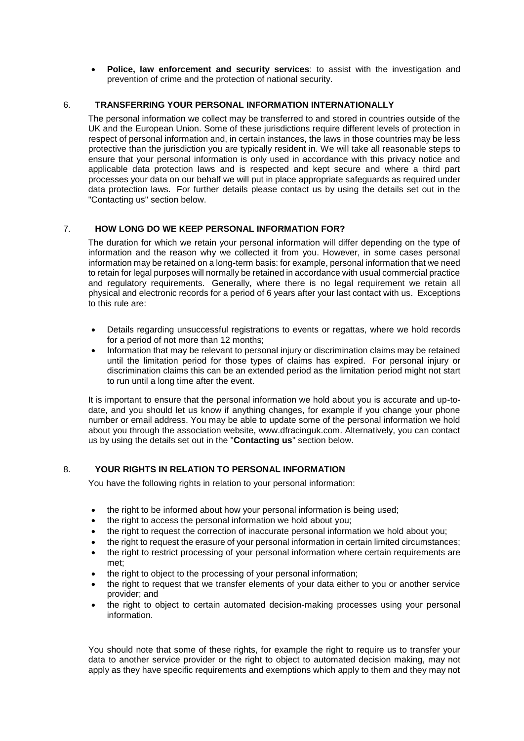• **Police, law enforcement and security services**: to assist with the investigation and prevention of crime and the protection of national security.

## 6. **TRANSFERRING YOUR PERSONAL INFORMATION INTERNATIONALLY**

The personal information we collect may be transferred to and stored in countries outside of the UK and the European Union. Some of these jurisdictions require different levels of protection in respect of personal information and, in certain instances, the laws in those countries may be less protective than the jurisdiction you are typically resident in. We will take all reasonable steps to ensure that your personal information is only used in accordance with this privacy notice and applicable data protection laws and is respected and kept secure and where a third part processes your data on our behalf we will put in place appropriate safeguards as required under data protection laws. For further details please contact us by using the details set out in the "Contacting us" section below.

## 7. **HOW LONG DO WE KEEP PERSONAL INFORMATION FOR?**

The duration for which we retain your personal information will differ depending on the type of information and the reason why we collected it from you. However, in some cases personal information may be retained on a long-term basis: for example, personal information that we need to retain for legal purposes will normally be retained in accordance with usual commercial practice and regulatory requirements. Generally, where there is no legal requirement we retain all physical and electronic records for a period of 6 years after your last contact with us. Exceptions to this rule are:

- Details regarding unsuccessful registrations to events or regattas, where we hold records for a period of not more than 12 months;
- Information that may be relevant to personal injury or discrimination claims may be retained until the limitation period for those types of claims has expired. For personal injury or discrimination claims this can be an extended period as the limitation period might not start to run until a long time after the event.

It is important to ensure that the personal information we hold about you is accurate and up-todate, and you should let us know if anything changes, for example if you change your phone number or email address. You may be able to update some of the personal information we hold about you through the association website, www.dfracinguk.com. Alternatively, you can contact us by using the details set out in the "**Contacting us**" section below.

## 8. **YOUR RIGHTS IN RELATION TO PERSONAL INFORMATION**

You have the following rights in relation to your personal information:

- the right to be informed about how your personal information is being used;
- the right to access the personal information we hold about you;
- the right to request the correction of inaccurate personal information we hold about you;
- the right to request the erasure of your personal information in certain limited circumstances;
- the right to restrict processing of your personal information where certain requirements are met;
- the right to object to the processing of your personal information;
- the right to request that we transfer elements of your data either to you or another service provider; and
- the right to object to certain automated decision-making processes using your personal information.

You should note that some of these rights, for example the right to require us to transfer your data to another service provider or the right to object to automated decision making, may not apply as they have specific requirements and exemptions which apply to them and they may not